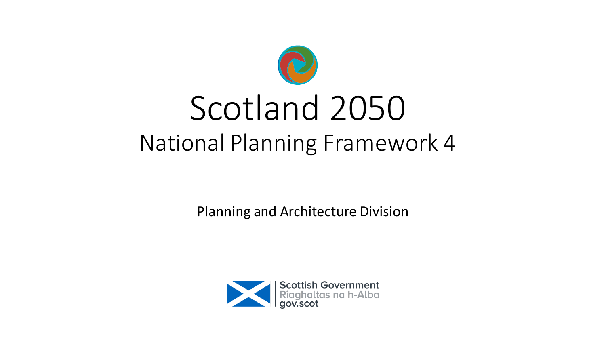

## Scotland 2050 National Planning Framework 4

Planning and Architecture Division

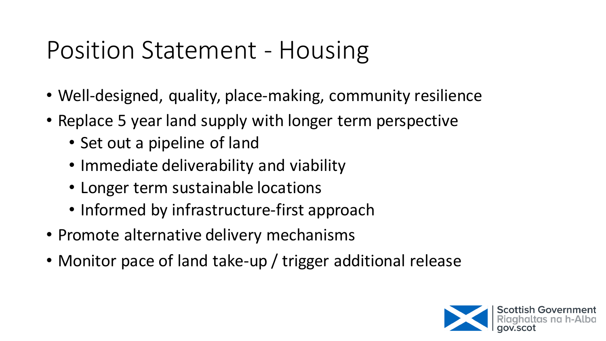## Position Statement - Housing

- Well-designed, quality, place-making, community resilience
- Replace 5 year land supply with longer term perspective
	- Set out a pipeline of land
	- Immediate deliverability and viability
	- Longer term sustainable locations
	- Informed by infrastructure-first approach
- Promote alternative delivery mechanisms
- Monitor pace of land take-up / trigger additional release

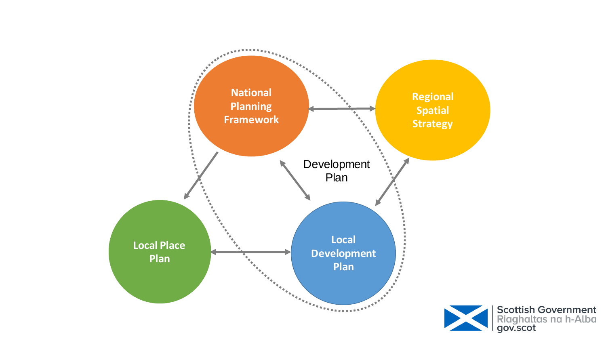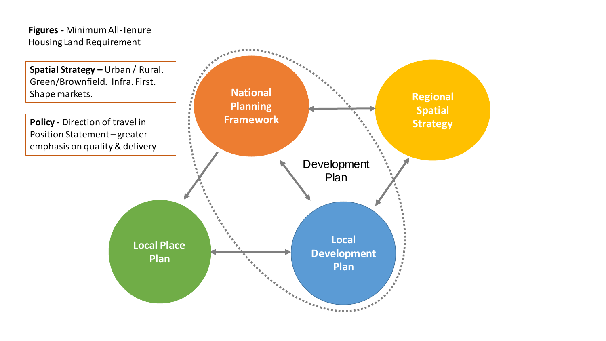**Figures -** Minimum All-Tenure Housing Land Requirement

**Spatial Strategy –** Urban / Rural. Green/Brownfield. Infra. First. Shape markets.

**Policy -** Direction of travel in Position Statement – greater emphasis on quality & delivery

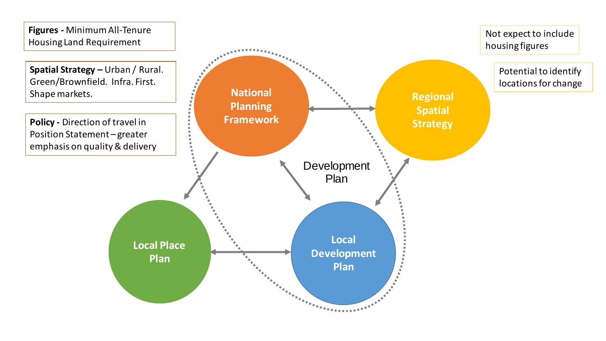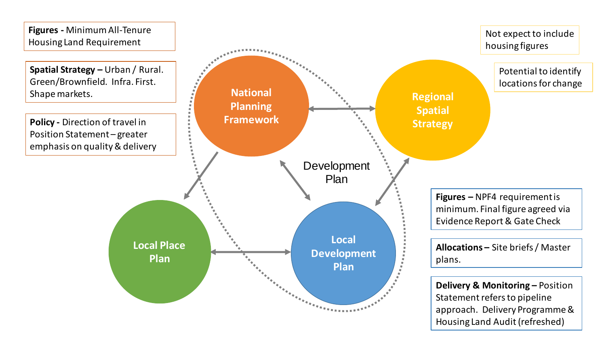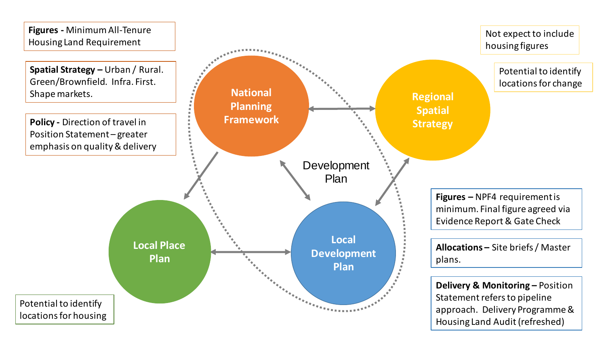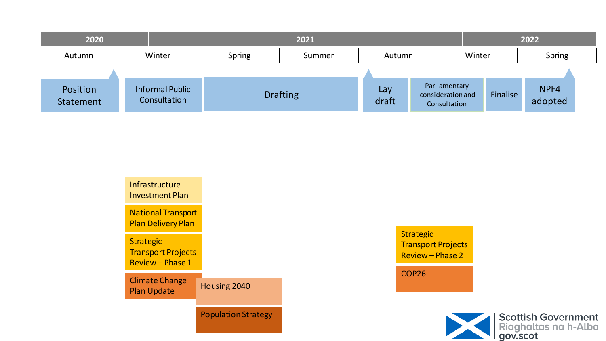| 2020                  |                                        | 2021            |        |              |                                                    |        | 2022     |                 |  |
|-----------------------|----------------------------------------|-----------------|--------|--------------|----------------------------------------------------|--------|----------|-----------------|--|
| Autumn                | Winter                                 | <b>Spring</b>   | Summer | Autumn       |                                                    | Winter |          | Spring          |  |
|                       |                                        |                 |        |              |                                                    |        |          |                 |  |
| Position<br>Statement | <b>Informal Public</b><br>Consultation | <b>Drafting</b> |        | Lay<br>draft | Parliamentary<br>consideration and<br>Consultation |        | Finalise | NPF4<br>adopted |  |



Strategic Transport Projects Review – Phase 2

COP26

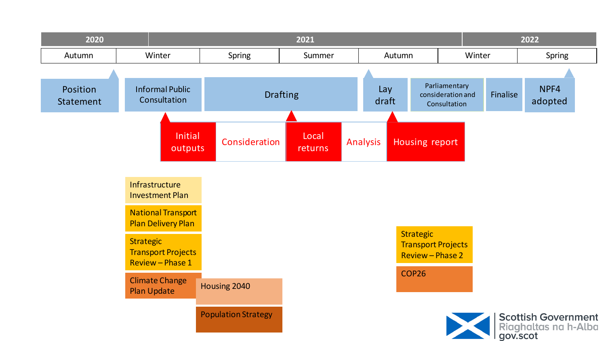